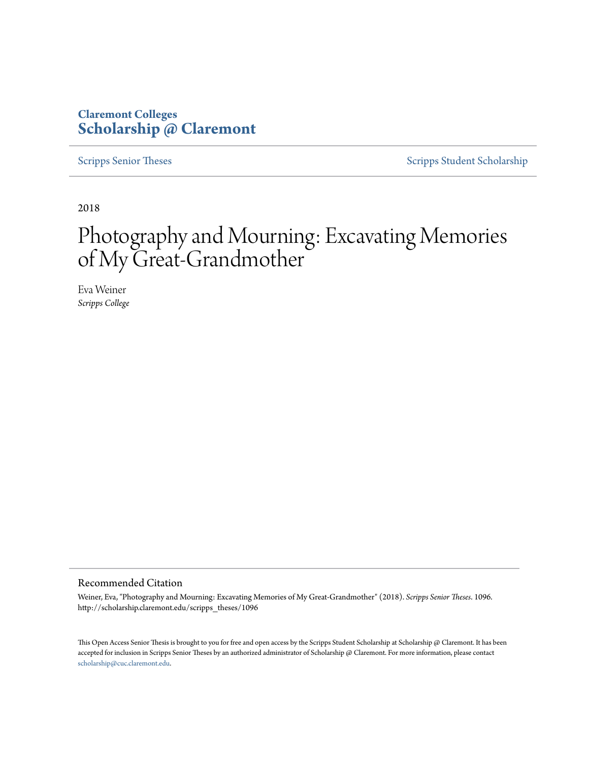## **Claremont Colleges [Scholarship @ Claremont](http://scholarship.claremont.edu)**

[Scripps Senior Theses](http://scholarship.claremont.edu/scripps_theses) [Scripps Student Scholarship](http://scholarship.claremont.edu/scripps_student)

2018

# Photography and Mourning: Excavating Memories of My Great-Grandmother

Eva Weiner *Scripps College*

#### Recommended Citation

Weiner, Eva, "Photography and Mourning: Excavating Memories of My Great-Grandmother" (2018). *Scripps Senior Theses*. 1096. http://scholarship.claremont.edu/scripps\_theses/1096

This Open Access Senior Thesis is brought to you for free and open access by the Scripps Student Scholarship at Scholarship @ Claremont. It has been accepted for inclusion in Scripps Senior Theses by an authorized administrator of Scholarship @ Claremont. For more information, please contact [scholarship@cuc.claremont.edu.](mailto:scholarship@cuc.claremont.edu)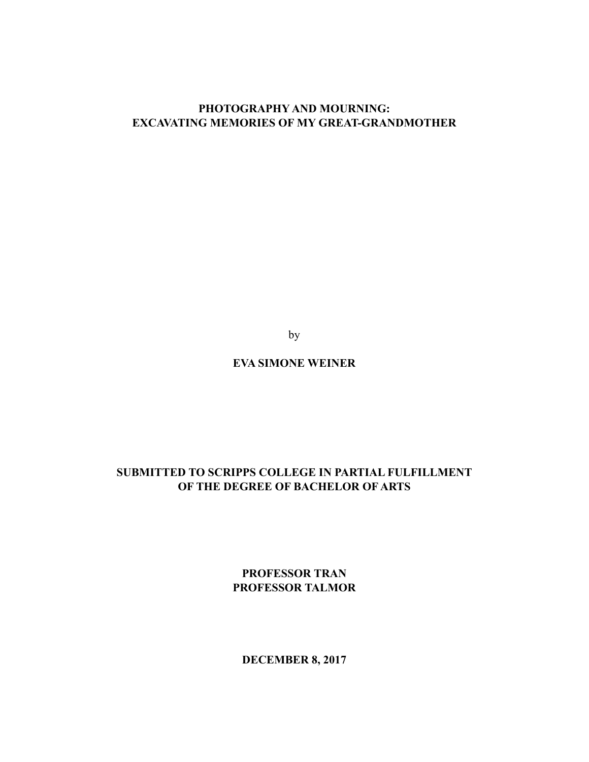### **PHOTOGRAPHY AND MOURNING: EXCAVATING MEMORIES OF MY GREAT-GRANDMOTHER**

by

## **EVA SIMONE WEINER**

## **SUBMITTED TO SCRIPPS COLLEGE IN PARTIAL FULFILLMENT OF THE DEGREE OF BACHELOR OF ARTS**

**PROFESSOR TRAN PROFESSOR TALMOR**

**DECEMBER 8, 2017**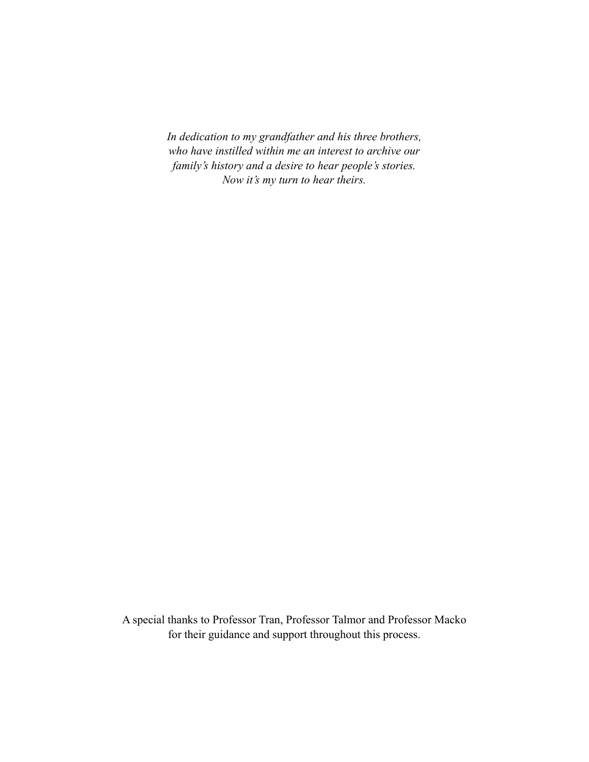*In dedication to my grandfather and his three brothers, who have instilled within me an interest to archive our family's history and a desire to hear people's stories. Now it's my turn to hear theirs.* 

A special thanks to Professor Tran, Professor Talmor and Professor Macko for their guidance and support throughout this process.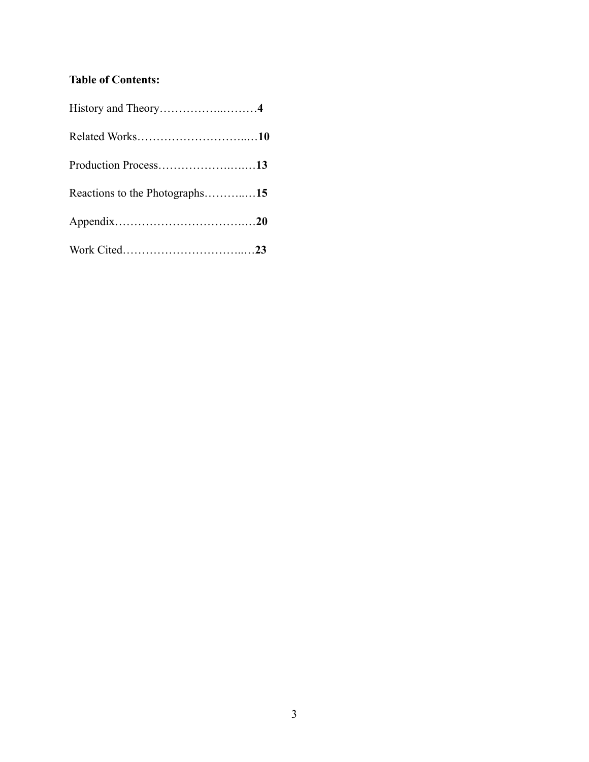## **Table of Contents:**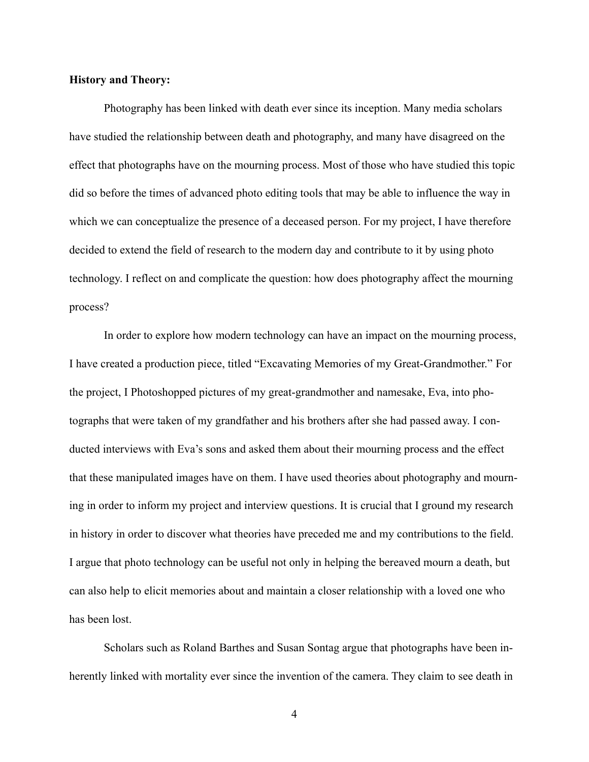#### **History and Theory:**

 Photography has been linked with death ever since its inception. Many media scholars have studied the relationship between death and photography, and many have disagreed on the effect that photographs have on the mourning process. Most of those who have studied this topic did so before the times of advanced photo editing tools that may be able to influence the way in which we can conceptualize the presence of a deceased person. For my project, I have therefore decided to extend the field of research to the modern day and contribute to it by using photo technology. I reflect on and complicate the question: how does photography affect the mourning process?

 In order to explore how modern technology can have an impact on the mourning process, I have created a production piece, titled "Excavating Memories of my Great-Grandmother." For the project, I Photoshopped pictures of my great-grandmother and namesake, Eva, into photographs that were taken of my grandfather and his brothers after she had passed away. I conducted interviews with Eva's sons and asked them about their mourning process and the effect that these manipulated images have on them. I have used theories about photography and mourning in order to inform my project and interview questions. It is crucial that I ground my research in history in order to discover what theories have preceded me and my contributions to the field. I argue that photo technology can be useful not only in helping the bereaved mourn a death, but can also help to elicit memories about and maintain a closer relationship with a loved one who has been lost.

 Scholars such as Roland Barthes and Susan Sontag argue that photographs have been inherently linked with mortality ever since the invention of the camera. They claim to see death in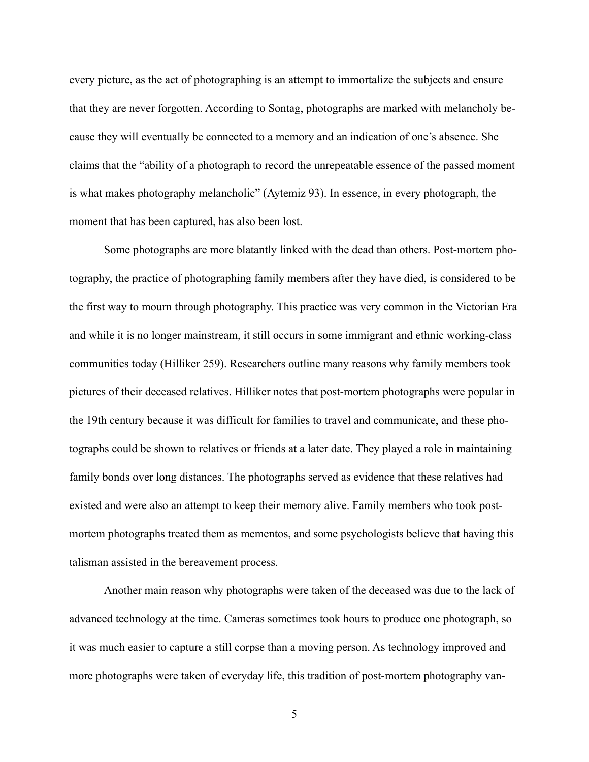every picture, as the act of photographing is an attempt to immortalize the subjects and ensure that they are never forgotten. According to Sontag, photographs are marked with melancholy because they will eventually be connected to a memory and an indication of one's absence. She claims that the "ability of a photograph to record the unrepeatable essence of the passed moment is what makes photography melancholic" (Aytemiz 93). In essence, in every photograph, the moment that has been captured, has also been lost.

 Some photographs are more blatantly linked with the dead than others. Post-mortem photography, the practice of photographing family members after they have died, is considered to be the first way to mourn through photography. This practice was very common in the Victorian Era and while it is no longer mainstream, it still occurs in some immigrant and ethnic working-class communities today (Hilliker 259). Researchers outline many reasons why family members took pictures of their deceased relatives. Hilliker notes that post-mortem photographs were popular in the 19th century because it was difficult for families to travel and communicate, and these photographs could be shown to relatives or friends at a later date. They played a role in maintaining family bonds over long distances. The photographs served as evidence that these relatives had existed and were also an attempt to keep their memory alive. Family members who took postmortem photographs treated them as mementos, and some psychologists believe that having this talisman assisted in the bereavement process.

 Another main reason why photographs were taken of the deceased was due to the lack of advanced technology at the time. Cameras sometimes took hours to produce one photograph, so it was much easier to capture a still corpse than a moving person. As technology improved and more photographs were taken of everyday life, this tradition of post-mortem photography van-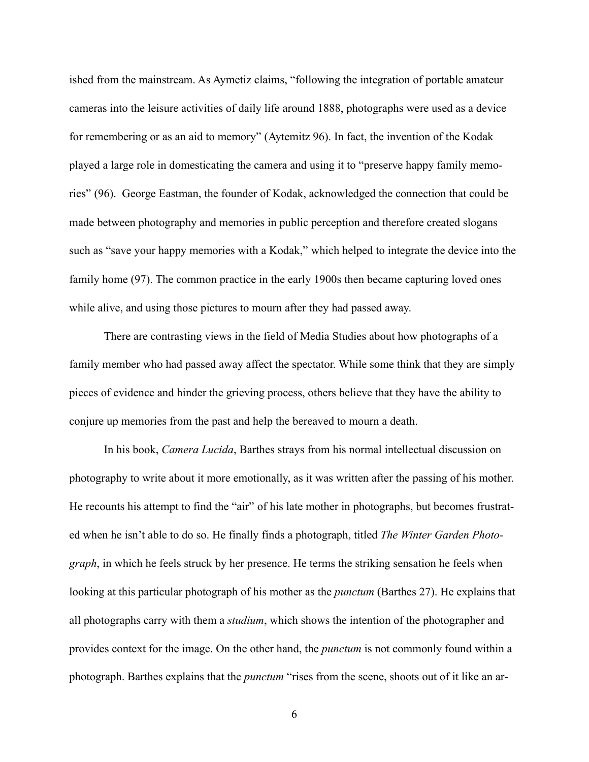ished from the mainstream. As Aymetiz claims, "following the integration of portable amateur cameras into the leisure activities of daily life around 1888, photographs were used as a device for remembering or as an aid to memory" (Aytemitz 96). In fact, the invention of the Kodak played a large role in domesticating the camera and using it to "preserve happy family memories" (96). George Eastman, the founder of Kodak, acknowledged the connection that could be made between photography and memories in public perception and therefore created slogans such as "save your happy memories with a Kodak," which helped to integrate the device into the family home (97). The common practice in the early 1900s then became capturing loved ones while alive, and using those pictures to mourn after they had passed away.

 There are contrasting views in the field of Media Studies about how photographs of a family member who had passed away affect the spectator. While some think that they are simply pieces of evidence and hinder the grieving process, others believe that they have the ability to conjure up memories from the past and help the bereaved to mourn a death.

 In his book, *Camera Lucida*, Barthes strays from his normal intellectual discussion on photography to write about it more emotionally, as it was written after the passing of his mother. He recounts his attempt to find the "air" of his late mother in photographs, but becomes frustrated when he isn't able to do so. He finally finds a photograph, titled *The Winter Garden Photograph*, in which he feels struck by her presence. He terms the striking sensation he feels when looking at this particular photograph of his mother as the *punctum* (Barthes 27). He explains that all photographs carry with them a *studium*, which shows the intention of the photographer and provides context for the image. On the other hand, the *punctum* is not commonly found within a photograph. Barthes explains that the *punctum* "rises from the scene, shoots out of it like an ar-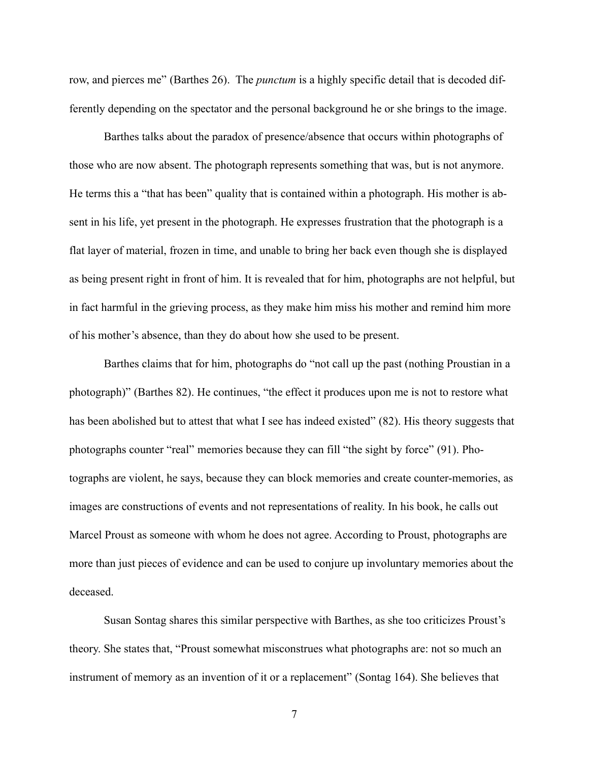row, and pierces me" (Barthes 26). The *punctum* is a highly specific detail that is decoded differently depending on the spectator and the personal background he or she brings to the image.

 Barthes talks about the paradox of presence/absence that occurs within photographs of those who are now absent. The photograph represents something that was, but is not anymore. He terms this a "that has been" quality that is contained within a photograph. His mother is absent in his life, yet present in the photograph. He expresses frustration that the photograph is a flat layer of material, frozen in time, and unable to bring her back even though she is displayed as being present right in front of him. It is revealed that for him, photographs are not helpful, but in fact harmful in the grieving process, as they make him miss his mother and remind him more of his mother's absence, than they do about how she used to be present.

 Barthes claims that for him, photographs do "not call up the past (nothing Proustian in a photograph)" (Barthes 82). He continues, "the effect it produces upon me is not to restore what has been abolished but to attest that what I see has indeed existed" (82). His theory suggests that photographs counter "real" memories because they can fill "the sight by force" (91). Photographs are violent, he says, because they can block memories and create counter-memories, as images are constructions of events and not representations of reality. In his book, he calls out Marcel Proust as someone with whom he does not agree. According to Proust, photographs are more than just pieces of evidence and can be used to conjure up involuntary memories about the deceased.

 Susan Sontag shares this similar perspective with Barthes, as she too criticizes Proust's theory. She states that, "Proust somewhat misconstrues what photographs are: not so much an instrument of memory as an invention of it or a replacement" (Sontag 164). She believes that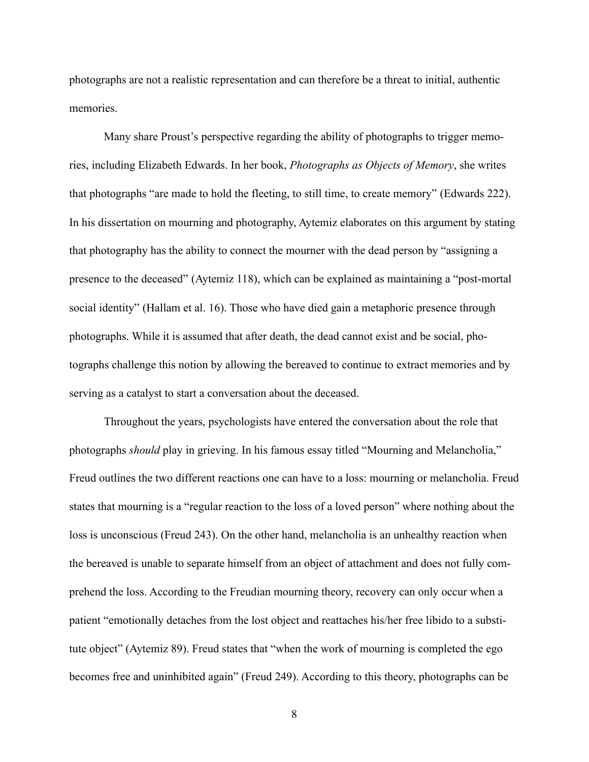photographs are not a realistic representation and can therefore be a threat to initial, authentic memories.

 Many share Proust's perspective regarding the ability of photographs to trigger memories, including Elizabeth Edwards. In her book, *Photographs as Objects of Memory*, she writes that photographs "are made to hold the fleeting, to still time, to create memory" (Edwards 222). In his dissertation on mourning and photography, Aytemiz elaborates on this argument by stating that photography has the ability to connect the mourner with the dead person by "assigning a presence to the deceased" (Aytemiz 118), which can be explained as maintaining a "post-mortal social identity" (Hallam et al. 16). Those who have died gain a metaphoric presence through photographs. While it is assumed that after death, the dead cannot exist and be social, photographs challenge this notion by allowing the bereaved to continue to extract memories and by serving as a catalyst to start a conversation about the deceased.

 Throughout the years, psychologists have entered the conversation about the role that photographs *should* play in grieving. In his famous essay titled "Mourning and Melancholia," Freud outlines the two different reactions one can have to a loss: mourning or melancholia. Freud states that mourning is a "regular reaction to the loss of a loved person" where nothing about the loss is unconscious (Freud 243). On the other hand, melancholia is an unhealthy reaction when the bereaved is unable to separate himself from an object of attachment and does not fully comprehend the loss. According to the Freudian mourning theory, recovery can only occur when a patient "emotionally detaches from the lost object and reattaches his/her free libido to a substitute object" (Aytemiz 89). Freud states that "when the work of mourning is completed the ego becomes free and uninhibited again" (Freud 249). According to this theory, photographs can be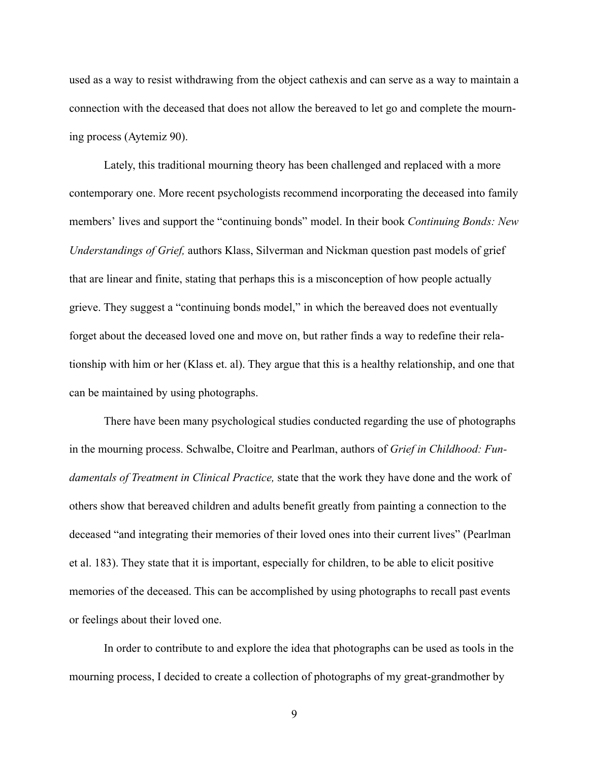used as a way to resist withdrawing from the object cathexis and can serve as a way to maintain a connection with the deceased that does not allow the bereaved to let go and complete the mourning process (Aytemiz 90).

 Lately, this traditional mourning theory has been challenged and replaced with a more contemporary one. More recent psychologists recommend incorporating the deceased into family members' lives and support the "continuing bonds" model. In their book *Continuing Bonds: New Understandings of Grief,* authors Klass, Silverman and Nickman question past models of grief that are linear and finite, stating that perhaps this is a misconception of how people actually grieve. They suggest a "continuing bonds model," in which the bereaved does not eventually forget about the deceased loved one and move on, but rather finds a way to redefine their relationship with him or her (Klass et. al). They argue that this is a healthy relationship, and one that can be maintained by using photographs.

 There have been many psychological studies conducted regarding the use of photographs in the mourning process. Schwalbe, Cloitre and Pearlman, authors of *Grief in Childhood: Fundamentals of Treatment in Clinical Practice,* state that the work they have done and the work of others show that bereaved children and adults benefit greatly from painting a connection to the deceased "and integrating their memories of their loved ones into their current lives" (Pearlman et al. 183). They state that it is important, especially for children, to be able to elicit positive memories of the deceased. This can be accomplished by using photographs to recall past events or feelings about their loved one.

 In order to contribute to and explore the idea that photographs can be used as tools in the mourning process, I decided to create a collection of photographs of my great-grandmother by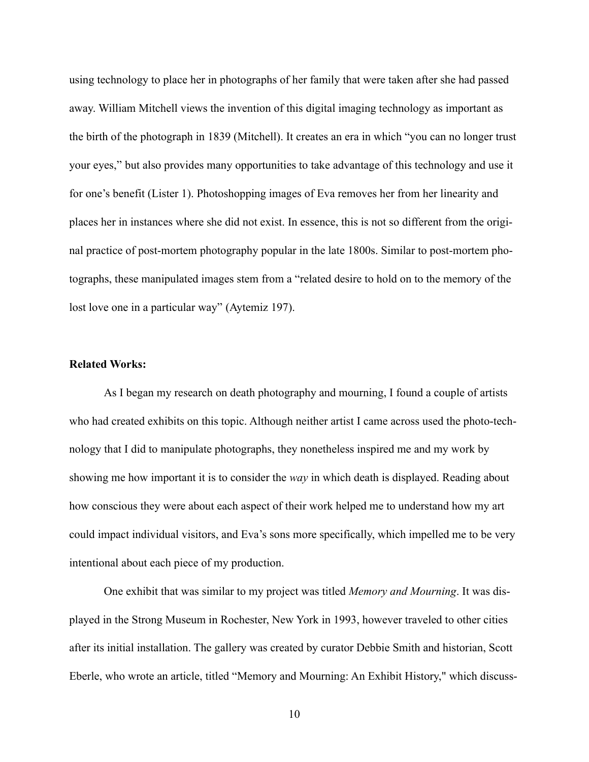using technology to place her in photographs of her family that were taken after she had passed away. William Mitchell views the invention of this digital imaging technology as important as the birth of the photograph in 1839 (Mitchell). It creates an era in which "you can no longer trust your eyes," but also provides many opportunities to take advantage of this technology and use it for one's benefit (Lister 1). Photoshopping images of Eva removes her from her linearity and places her in instances where she did not exist. In essence, this is not so different from the original practice of post-mortem photography popular in the late 1800s. Similar to post-mortem photographs, these manipulated images stem from a "related desire to hold on to the memory of the lost love one in a particular way" (Aytemiz 197).

#### **Related Works:**

As I began my research on death photography and mourning, I found a couple of artists who had created exhibits on this topic. Although neither artist I came across used the photo-technology that I did to manipulate photographs, they nonetheless inspired me and my work by showing me how important it is to consider the *way* in which death is displayed. Reading about how conscious they were about each aspect of their work helped me to understand how my art could impact individual visitors, and Eva's sons more specifically, which impelled me to be very intentional about each piece of my production.

 One exhibit that was similar to my project was titled *Memory and Mourning*. It was displayed in the Strong Museum in Rochester, New York in 1993, however traveled to other cities after its initial installation. The gallery was created by curator Debbie Smith and historian, Scott Eberle, who wrote an article, titled "Memory and Mourning: An Exhibit History," which discuss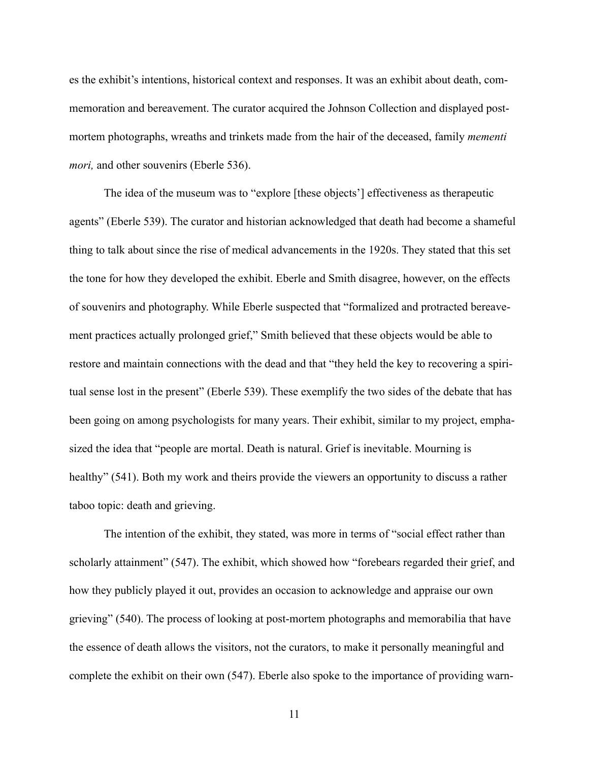es the exhibit's intentions, historical context and responses. It was an exhibit about death, commemoration and bereavement. The curator acquired the Johnson Collection and displayed postmortem photographs, wreaths and trinkets made from the hair of the deceased, family *mementi mori*, and other souvenirs (Eberle 536).

 The idea of the museum was to "explore [these objects'] effectiveness as therapeutic agents" (Eberle 539). The curator and historian acknowledged that death had become a shameful thing to talk about since the rise of medical advancements in the 1920s. They stated that this set the tone for how they developed the exhibit. Eberle and Smith disagree, however, on the effects of souvenirs and photography. While Eberle suspected that "formalized and protracted bereavement practices actually prolonged grief," Smith believed that these objects would be able to restore and maintain connections with the dead and that "they held the key to recovering a spiritual sense lost in the present" (Eberle 539). These exemplify the two sides of the debate that has been going on among psychologists for many years. Their exhibit, similar to my project, emphasized the idea that "people are mortal. Death is natural. Grief is inevitable. Mourning is healthy" (541). Both my work and theirs provide the viewers an opportunity to discuss a rather taboo topic: death and grieving.

 The intention of the exhibit, they stated, was more in terms of "social effect rather than scholarly attainment" (547). The exhibit, which showed how "forebears regarded their grief, and how they publicly played it out, provides an occasion to acknowledge and appraise our own grieving" (540). The process of looking at post-mortem photographs and memorabilia that have the essence of death allows the visitors, not the curators, to make it personally meaningful and complete the exhibit on their own (547). Eberle also spoke to the importance of providing warn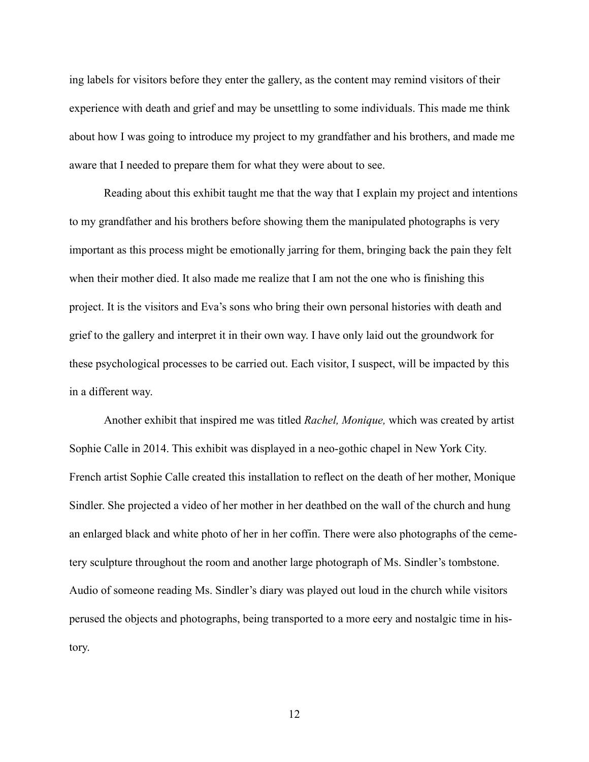ing labels for visitors before they enter the gallery, as the content may remind visitors of their experience with death and grief and may be unsettling to some individuals. This made me think about how I was going to introduce my project to my grandfather and his brothers, and made me aware that I needed to prepare them for what they were about to see.

 Reading about this exhibit taught me that the way that I explain my project and intentions to my grandfather and his brothers before showing them the manipulated photographs is very important as this process might be emotionally jarring for them, bringing back the pain they felt when their mother died. It also made me realize that I am not the one who is finishing this project. It is the visitors and Eva's sons who bring their own personal histories with death and grief to the gallery and interpret it in their own way. I have only laid out the groundwork for these psychological processes to be carried out. Each visitor, I suspect, will be impacted by this in a different way.

 Another exhibit that inspired me was titled *Rachel, Monique,* which was created by artist Sophie Calle in 2014. This exhibit was displayed in a neo-gothic chapel in New York City. French artist Sophie Calle created this installation to reflect on the death of her mother, Monique Sindler. She projected a video of her mother in her deathbed on the wall of the church and hung an enlarged black and white photo of her in her coffin. There were also photographs of the cemetery sculpture throughout the room and another large photograph of Ms. Sindler's tombstone. Audio of someone reading Ms. Sindler's diary was played out loud in the church while visitors perused the objects and photographs, being transported to a more eery and nostalgic time in history.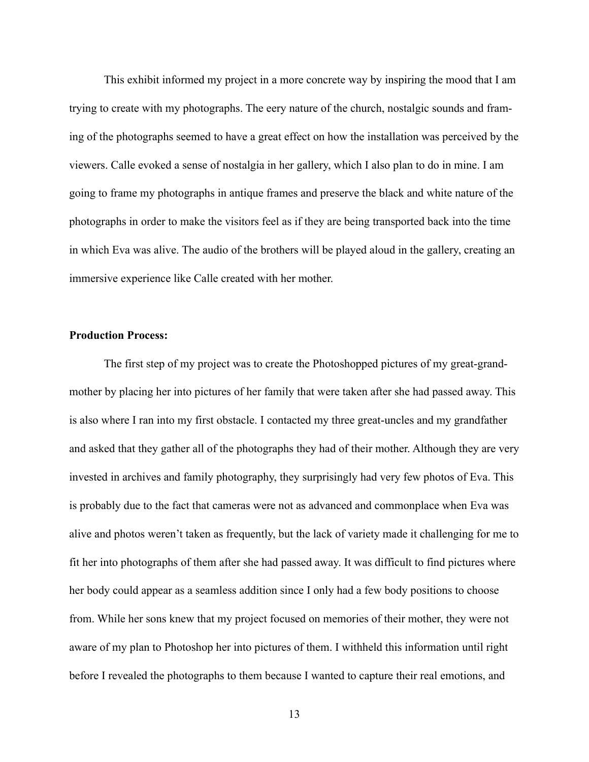This exhibit informed my project in a more concrete way by inspiring the mood that I am trying to create with my photographs. The eery nature of the church, nostalgic sounds and framing of the photographs seemed to have a great effect on how the installation was perceived by the viewers. Calle evoked a sense of nostalgia in her gallery, which I also plan to do in mine. I am going to frame my photographs in antique frames and preserve the black and white nature of the photographs in order to make the visitors feel as if they are being transported back into the time in which Eva was alive. The audio of the brothers will be played aloud in the gallery, creating an immersive experience like Calle created with her mother.

#### **Production Process:**

 The first step of my project was to create the Photoshopped pictures of my great-grandmother by placing her into pictures of her family that were taken after she had passed away. This is also where I ran into my first obstacle. I contacted my three great-uncles and my grandfather and asked that they gather all of the photographs they had of their mother. Although they are very invested in archives and family photography, they surprisingly had very few photos of Eva. This is probably due to the fact that cameras were not as advanced and commonplace when Eva was alive and photos weren't taken as frequently, but the lack of variety made it challenging for me to fit her into photographs of them after she had passed away. It was difficult to find pictures where her body could appear as a seamless addition since I only had a few body positions to choose from. While her sons knew that my project focused on memories of their mother, they were not aware of my plan to Photoshop her into pictures of them. I withheld this information until right before I revealed the photographs to them because I wanted to capture their real emotions, and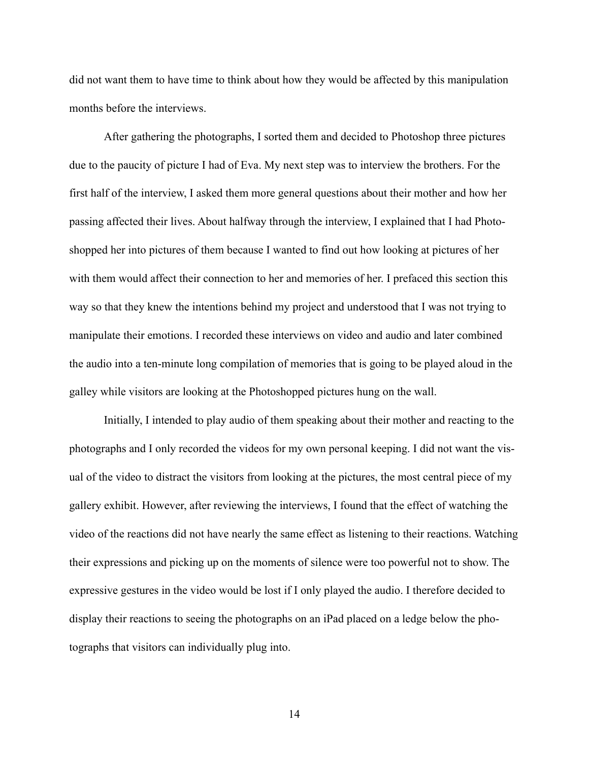did not want them to have time to think about how they would be affected by this manipulation months before the interviews.

 After gathering the photographs, I sorted them and decided to Photoshop three pictures due to the paucity of picture I had of Eva. My next step was to interview the brothers. For the first half of the interview, I asked them more general questions about their mother and how her passing affected their lives. About halfway through the interview, I explained that I had Photoshopped her into pictures of them because I wanted to find out how looking at pictures of her with them would affect their connection to her and memories of her. I prefaced this section this way so that they knew the intentions behind my project and understood that I was not trying to manipulate their emotions. I recorded these interviews on video and audio and later combined the audio into a ten-minute long compilation of memories that is going to be played aloud in the galley while visitors are looking at the Photoshopped pictures hung on the wall.

 Initially, I intended to play audio of them speaking about their mother and reacting to the photographs and I only recorded the videos for my own personal keeping. I did not want the visual of the video to distract the visitors from looking at the pictures, the most central piece of my gallery exhibit. However, after reviewing the interviews, I found that the effect of watching the video of the reactions did not have nearly the same effect as listening to their reactions. Watching their expressions and picking up on the moments of silence were too powerful not to show. The expressive gestures in the video would be lost if I only played the audio. I therefore decided to display their reactions to seeing the photographs on an iPad placed on a ledge below the photographs that visitors can individually plug into.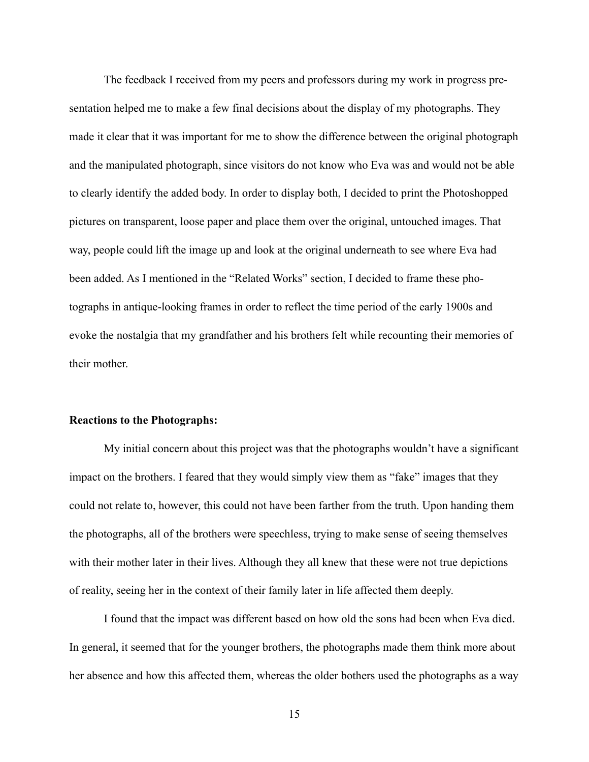The feedback I received from my peers and professors during my work in progress presentation helped me to make a few final decisions about the display of my photographs. They made it clear that it was important for me to show the difference between the original photograph and the manipulated photograph, since visitors do not know who Eva was and would not be able to clearly identify the added body. In order to display both, I decided to print the Photoshopped pictures on transparent, loose paper and place them over the original, untouched images. That way, people could lift the image up and look at the original underneath to see where Eva had been added. As I mentioned in the "Related Works" section, I decided to frame these photographs in antique-looking frames in order to reflect the time period of the early 1900s and evoke the nostalgia that my grandfather and his brothers felt while recounting their memories of their mother.

#### **Reactions to the Photographs:**

My initial concern about this project was that the photographs wouldn't have a significant impact on the brothers. I feared that they would simply view them as "fake" images that they could not relate to, however, this could not have been farther from the truth. Upon handing them the photographs, all of the brothers were speechless, trying to make sense of seeing themselves with their mother later in their lives. Although they all knew that these were not true depictions of reality, seeing her in the context of their family later in life affected them deeply.

 I found that the impact was different based on how old the sons had been when Eva died. In general, it seemed that for the younger brothers, the photographs made them think more about her absence and how this affected them, whereas the older bothers used the photographs as a way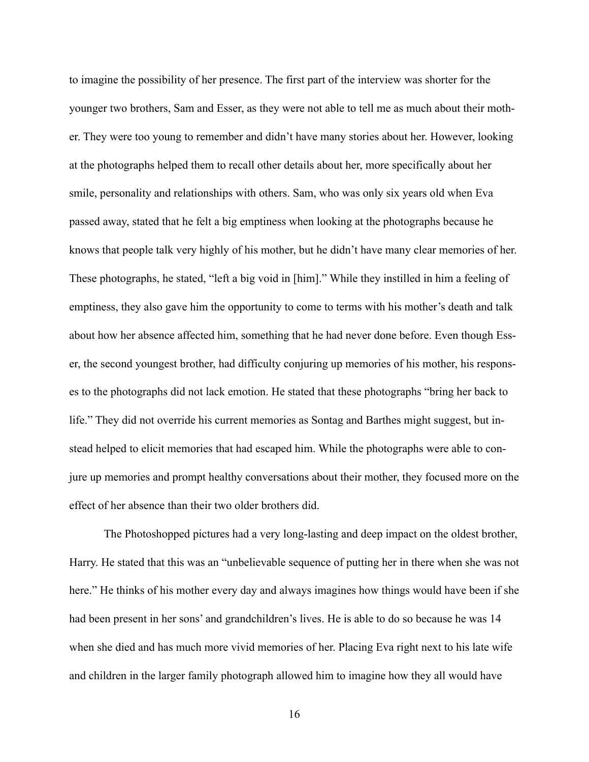to imagine the possibility of her presence. The first part of the interview was shorter for the younger two brothers, Sam and Esser, as they were not able to tell me as much about their mother. They were too young to remember and didn't have many stories about her. However, looking at the photographs helped them to recall other details about her, more specifically about her smile, personality and relationships with others. Sam, who was only six years old when Eva passed away, stated that he felt a big emptiness when looking at the photographs because he knows that people talk very highly of his mother, but he didn't have many clear memories of her. These photographs, he stated, "left a big void in [him]." While they instilled in him a feeling of emptiness, they also gave him the opportunity to come to terms with his mother's death and talk about how her absence affected him, something that he had never done before. Even though Esser, the second youngest brother, had difficulty conjuring up memories of his mother, his responses to the photographs did not lack emotion. He stated that these photographs "bring her back to life." They did not override his current memories as Sontag and Barthes might suggest, but instead helped to elicit memories that had escaped him. While the photographs were able to conjure up memories and prompt healthy conversations about their mother, they focused more on the effect of her absence than their two older brothers did.

 The Photoshopped pictures had a very long-lasting and deep impact on the oldest brother, Harry. He stated that this was an "unbelievable sequence of putting her in there when she was not here." He thinks of his mother every day and always imagines how things would have been if she had been present in her sons' and grandchildren's lives. He is able to do so because he was 14 when she died and has much more vivid memories of her. Placing Eva right next to his late wife and children in the larger family photograph allowed him to imagine how they all would have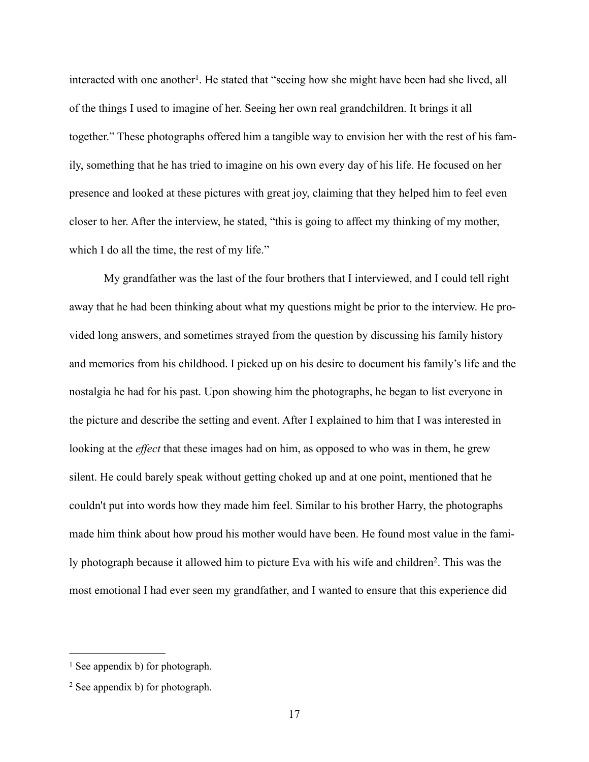interacted with one another<sup>1</sup>. He stated that "seeing how she might have been had she lived, all of the things I used to imagine of her. Seeing her own real grandchildren. It brings it all together." These photographs offered him a tangible way to envision her with the rest of his family, something that he has tried to imagine on his own every day of his life. He focused on her presence and looked at these pictures with great joy, claiming that they helped him to feel even closer to her. After the interview, he stated, "this is going to affect my thinking of my mother, which I do all the time, the rest of my life."

 My grandfather was the last of the four brothers that I interviewed, and I could tell right away that he had been thinking about what my questions might be prior to the interview. He provided long answers, and sometimes strayed from the question by discussing his family history and memories from his childhood. I picked up on his desire to document his family's life and the nostalgia he had for his past. Upon showing him the photographs, he began to list everyone in the picture and describe the setting and event. After I explained to him that I was interested in looking at the *effect* that these images had on him, as opposed to who was in them, he grew silent. He could barely speak without getting choked up and at one point, mentioned that he couldn't put into words how they made him feel. Similar to his brother Harry, the photographs made him think about how proud his mother would have been. He found most value in the family photograph because it allowed him to picture Eva with his wife and children<sup>2</sup>. This was the most emotional I had ever seen my grandfather, and I wanted to ensure that this experience did

 $<sup>1</sup>$  See appendix b) for photograph.</sup>

 $2$  See appendix b) for photograph.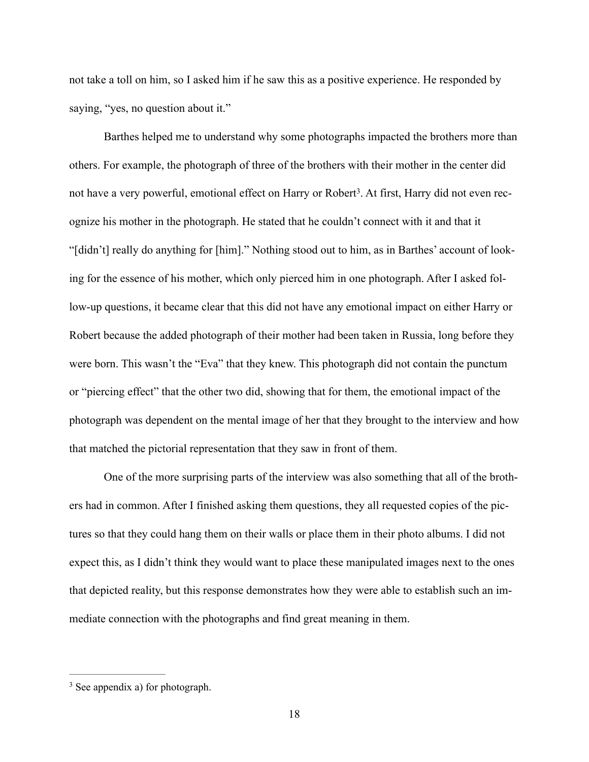not take a toll on him, so I asked him if he saw this as a positive experience. He responded by saying, "yes, no question about it."

 Barthes helped me to understand why some photographs impacted the brothers more than others. For example, the photograph of three of the brothers with their mother in the center did not have a very powerful, emotional effect on Harry or Robert<sup>3</sup>. At first, Harry did not even recognize his mother in the photograph. He stated that he couldn't connect with it and that it "[didn't] really do anything for [him]." Nothing stood out to him, as in Barthes' account of looking for the essence of his mother, which only pierced him in one photograph. After I asked follow-up questions, it became clear that this did not have any emotional impact on either Harry or Robert because the added photograph of their mother had been taken in Russia, long before they were born. This wasn't the "Eva" that they knew. This photograph did not contain the punctum or "piercing effect" that the other two did, showing that for them, the emotional impact of the photograph was dependent on the mental image of her that they brought to the interview and how that matched the pictorial representation that they saw in front of them.

 One of the more surprising parts of the interview was also something that all of the brothers had in common. After I finished asking them questions, they all requested copies of the pictures so that they could hang them on their walls or place them in their photo albums. I did not expect this, as I didn't think they would want to place these manipulated images next to the ones that depicted reality, but this response demonstrates how they were able to establish such an immediate connection with the photographs and find great meaning in them.

 $3$  See appendix a) for photograph.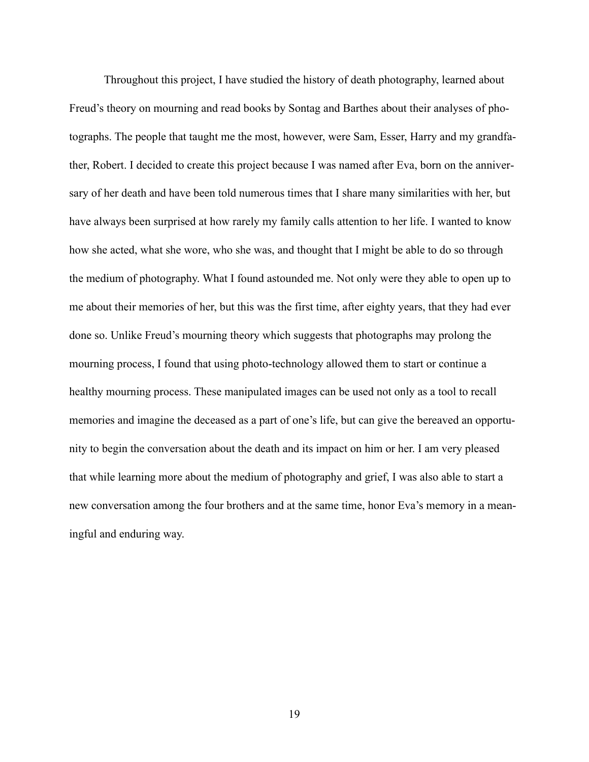Throughout this project, I have studied the history of death photography, learned about Freud's theory on mourning and read books by Sontag and Barthes about their analyses of photographs. The people that taught me the most, however, were Sam, Esser, Harry and my grandfather, Robert. I decided to create this project because I was named after Eva, born on the anniversary of her death and have been told numerous times that I share many similarities with her, but have always been surprised at how rarely my family calls attention to her life. I wanted to know how she acted, what she wore, who she was, and thought that I might be able to do so through the medium of photography. What I found astounded me. Not only were they able to open up to me about their memories of her, but this was the first time, after eighty years, that they had ever done so. Unlike Freud's mourning theory which suggests that photographs may prolong the mourning process, I found that using photo-technology allowed them to start or continue a healthy mourning process. These manipulated images can be used not only as a tool to recall memories and imagine the deceased as a part of one's life, but can give the bereaved an opportunity to begin the conversation about the death and its impact on him or her. I am very pleased that while learning more about the medium of photography and grief, I was also able to start a new conversation among the four brothers and at the same time, honor Eva's memory in a meaningful and enduring way.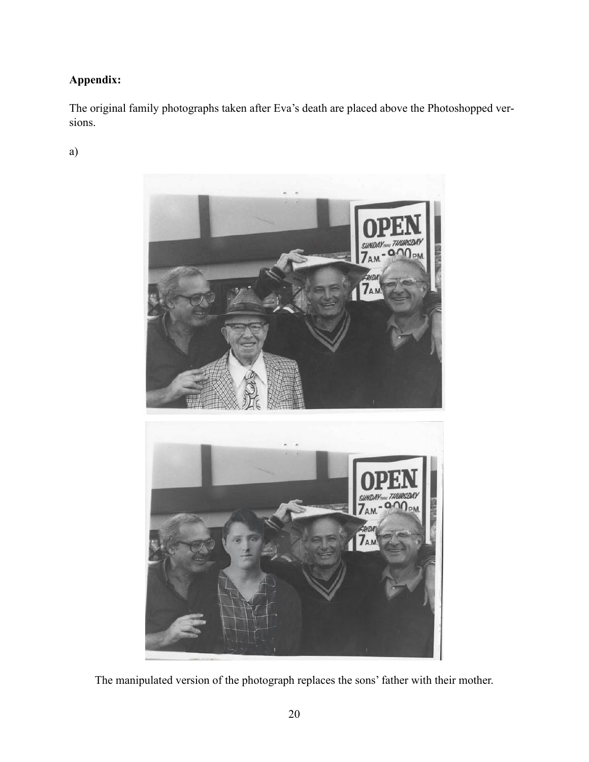# **Appendix:**

The original family photographs taken after Eva's death are placed above the Photoshopped versions.

a)



The manipulated version of the photograph replaces the sons' father with their mother.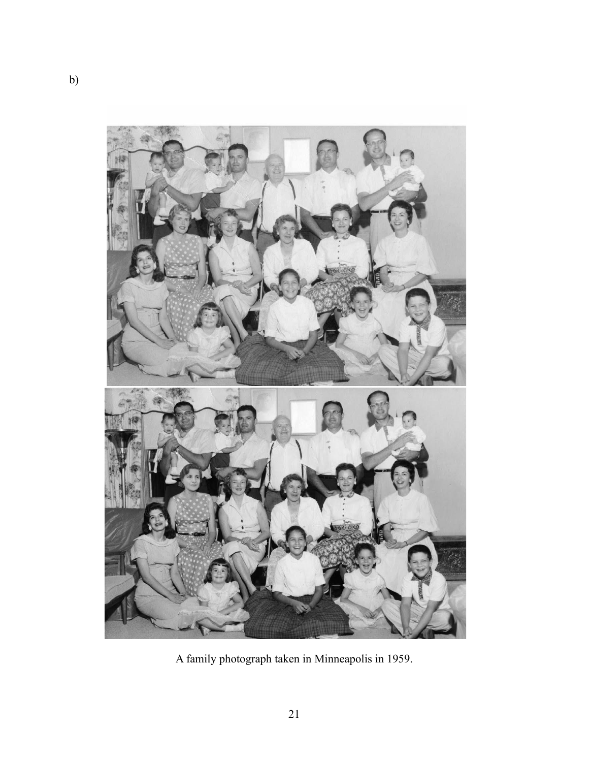

A family photograph taken in Minneapolis in 1959.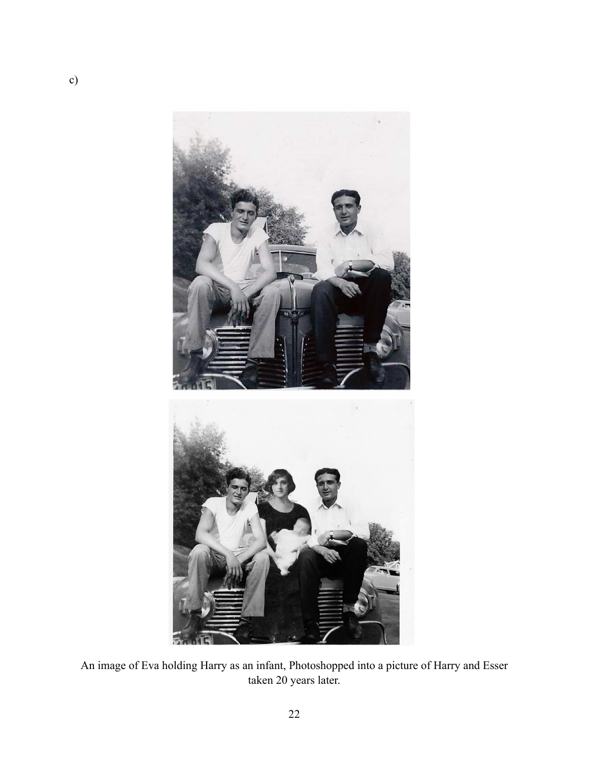

An image of Eva holding Harry as an infant, Photoshopped into a picture of Harry and Esser taken 20 years later.